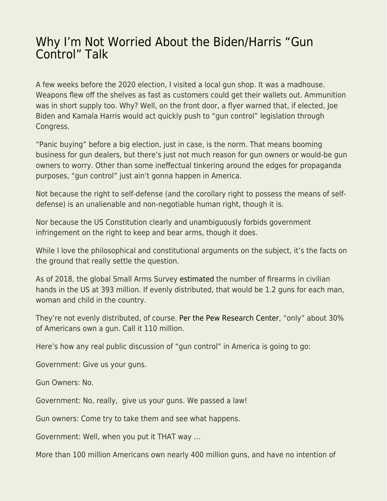## [Why I'm Not Worried About the Biden/Harris "Gun](https://everything-voluntary.com/why-im-not-worried-about-the-biden-harris-gun-control-talk) [Control" Talk](https://everything-voluntary.com/why-im-not-worried-about-the-biden-harris-gun-control-talk)

A few weeks before the 2020 election, I visited a local gun shop. It was a madhouse. Weapons flew off the shelves as fast as customers could get their wallets out. Ammunition was in short supply too. Why? Well, on the front door, a flyer warned that, if elected, Joe Biden and Kamala Harris would act quickly push to "gun control" legislation through Congress.

"Panic buying" before a big election, just in case, is the norm. That means booming business for gun dealers, but there's just not much reason for gun owners or would-be gun owners to worry. Other than some ineffectual tinkering around the edges for propaganda purposes, "gun control" just ain't gonna happen in America.

Not because the right to self-defense (and the corollary right to possess the means of selfdefense) is an unalienable and non-negotiable human right, though it is.

Nor because the US Constitution clearly and unambiguously forbids government infringement on the right to keep and bear arms, though it does.

While I love the philosophical and constitutional arguments on the subject, it's the facts on the ground that really settle the question.

As of 2018, the global Small Arms Survey [estimated](https://www.washingtonpost.com/news/wonk/wp/2018/06/19/there-are-more-guns-than-people-in-the-united-states-according-to-a-new-study-of-global-firearm-ownership/) the number of firearms in civilian hands in the US at 393 million. If evenly distributed, that would be 1.2 guns for each man, woman and child in the country.

They're not evenly distributed, of course. [Per the Pew Research Center](https://www.pewresearch.org/fact-tank/2019/10/22/facts-about-guns-in-united-states/), "only" about 30% of Americans own a gun. Call it 110 million.

Here's how any real public discussion of "gun control" in America is going to go:

Government: Give us your guns.

Gun Owners: No.

Government: No, really, give us your guns. We passed a law!

Gun owners: Come try to take them and see what happens.

Government: Well, when you put it THAT way …

More than 100 million Americans own nearly 400 million guns, and have no intention of